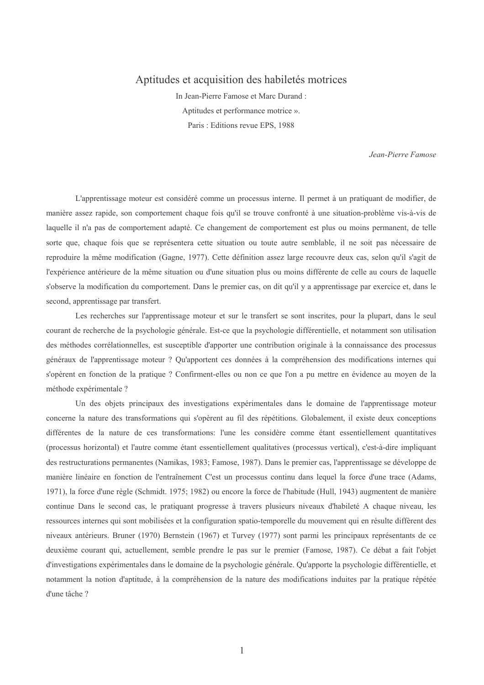# Aptitudes et acquisition des habiletés motrices

In Jean-Pierre Famose et Marc Durand: Aptitudes et performance motrice ». Paris: Editions revue EPS, 1988

Jean-Pierre Famose

L'apprentissage moteur est considéré comme un processus interne. Il permet à un pratiquant de modifier, de manière assez rapide, son comportement chaque fois qu'il se trouve confronté à une situation-problème vis-à-vis de laquelle il n'a pas de comportement adapté. Ce changement de comportement est plus ou moins permanent, de telle sorte que, chaque fois que se représentera cette situation ou toute autre semblable, il ne soit pas nécessaire de reproduire la même modification (Gagne, 1977). Cette définition assez large recouvre deux cas, selon qu'il s'agit de l'expérience antérieure de la même situation ou d'une situation plus ou moins différente de celle au cours de laquelle s'observe la modification du comportement. Dans le premier cas, on dit qu'il y a apprentissage par exercice et, dans le second, apprentissage par transfert.

Les recherches sur l'apprentissage moteur et sur le transfert se sont inscrites, pour la plupart, dans le seul courant de recherche de la psychologie générale. Est-ce que la psychologie différentielle, et notamment son utilisation des méthodes corrélationnelles, est susceptible d'apporter une contribution originale à la connaissance des processus généraux de l'apprentissage moteur ? Qu'apportent ces données à la compréhension des modifications internes qui s'opèrent en fonction de la pratique ? Confirment-elles ou non ce que l'on a pu mettre en évidence au moyen de la méthode expérimentale ?

Un des objets principaux des investigations expérimentales dans le domaine de l'apprentissage moteur concerne la nature des transformations qui s'opèrent au fil des répétitions. Globalement, il existe deux conceptions différentes de la nature de ces transformations: l'une les considère comme étant essentiellement quantitatives (processus horizontal) et l'autre comme étant essentiellement qualitatives (processus vertical), c'est-à-dire impliquant des restructurations permanentes (Namikas, 1983; Famose, 1987). Dans le premier cas, l'apprentissage se développe de manière linéaire en fonction de l'entraînement C'est un processus continu dans lequel la force d'une trace (Adams, 1971), la force d'une règle (Schmidt. 1975; 1982) ou encore la force de l'habitude (Hull, 1943) augmentent de manière continue Dans le second cas, le pratiquant progresse à travers plusieurs niveaux d'habileté A chaque niveau, les ressources internes qui sont mobilisées et la configuration spatio-temporelle du mouvement qui en résulte diffèrent des niveaux antérieurs. Bruner (1970) Bernstein (1967) et Turvey (1977) sont parmi les principaux représentants de ce deuxième courant qui, actuellement, semble prendre le pas sur le premier (Famose, 1987). Ce débat a fait l'objet d'investigations expérimentales dans le domaine de la psychologie générale. Qu'apporte la psychologie différentielle, et notamment la notion d'aptitude, à la compréhension de la nature des modifications induites par la pratique répétée d'une tâche ?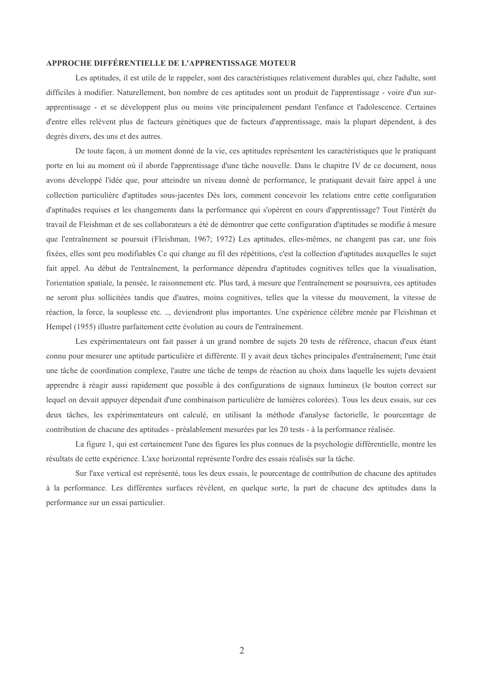# APPROCHE DIFFÉRENTIELLE DE L'APPRENTISSAGE MOTEUR

Les aptitudes, il est utile de le rappeler, sont des caractéristiques relativement durables qui, chez l'adulte, sont difficiles à modifier. Naturellement, bon nombre de ces aptitudes sont un produit de l'apprentissage - voire d'un surapprentissage - et se développent plus ou moins vite principalement pendant l'enfance et l'adolescence. Certaines d'entre elles relèvent plus de facteurs génétiques que de facteurs d'apprentissage, mais la plupart dépendent, à des degrés divers, des uns et des autres.

De toute facon, à un moment donné de la vie, ces aptitudes représentent les caractéristiques que le pratiquant porte en lui au moment où il aborde l'apprentissage d'une tâche nouvelle. Dans le chapitre IV de ce document, nous avons développé l'idée que, pour atteindre un niveau donné de performance, le pratiquant devait faire appel à une collection particulière d'aptitudes sous-jacentes Dès lors, comment concevoir les relations entre cette configuration d'aptitudes requises et les changements dans la performance qui s'opèrent en cours d'apprentissage? Tout l'intérêt du travail de Fleishman et de ses collaborateurs a été de démontrer que cette configuration d'aptitudes se modifie à mesure que l'entraînement se poursuit (Fleishman, 1967; 1972) Les aptitudes, elles-mêmes, ne changent pas car, une fois fixées, elles sont peu modifiables Ce qui change au fil des répétitions, c'est la collection d'aptitudes auxquelles le sujet fait appel. Au début de l'entraînement, la performance dépendra d'aptitudes cognitives telles que la visualisation, l'orientation spatiale, la pensée, le raisonnement etc. Plus tard, à mesure que l'entraînement se poursuivra, ces aptitudes ne seront plus sollicitées tandis que d'autres, moins cognitives, telles que la vitesse du mouvement, la vitesse de réaction, la force, la souplesse etc. .., deviendront plus importantes. Une expérience célèbre menée par Fleishman et Hempel (1955) illustre parfaitement cette évolution au cours de l'entraînement.

Les expérimentateurs ont fait passer à un grand nombre de sujets 20 tests de référence, chacun d'eux étant connu pour mesurer une aptitude particulière et différente. Il y avait deux tâches principales d'entraînement: l'une était une tâche de coordination complexe. l'autre une tâche de temps de réaction au choix dans laquelle les sujets devajent apprendre à réagir aussi rapidement que possible à des configurations de signaux lumineux (le bouton correct sur lequel on devait appuyer dépendait d'une combinaison particulière de lumières colorées). Tous les deux essais, sur ces deux tâches, les expérimentateurs ont calculé, en utilisant la méthode d'analyse factorielle, le pourcentage de contribution de chacune des aptitudes - préalablement mesurées par les 20 tests - à la performance réalisée.

La figure 1, qui est certainement l'une des figures les plus connues de la psychologie différentielle, montre les résultats de cette expérience. L'axe horizontal représente l'ordre des essais réalisés sur la tâche.

Sur l'axe vertical est représenté, tous les deux essais, le pourcentage de contribution de chacune des aptitudes à la performance. Les différentes surfaces révèlent, en quelque sorte, la part de chacune des aptitudes dans la performance sur un essai particulier.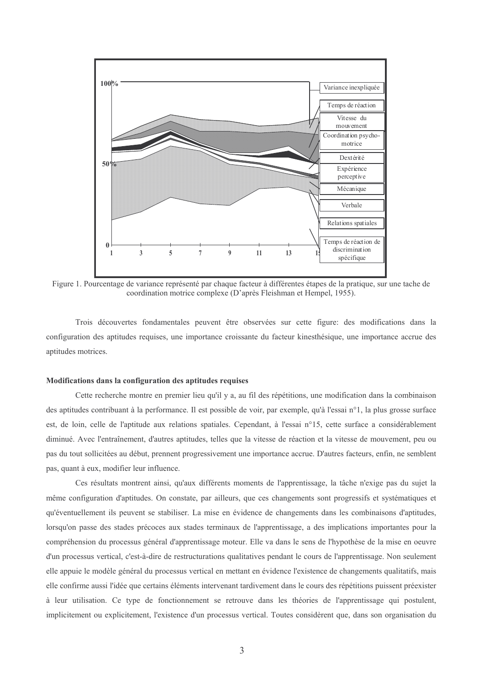

Figure 1. Pourcentage de variance représenté par chaque facteur à différentes étapes de la pratique, sur une tache de coordination motrice complexe (D'après Fleishman et Hempel, 1955).

Trois découvertes fondamentales peuvent être observées sur cette figure; des modifications dans la configuration des aptitudes requises, une importance croissante du facteur kinesthésique, une importance accrue des aptitudes motrices.

#### Modifications dans la configuration des aptitudes requises

Cette recherche montre en premier lieu qu'il y a, au fil des répétitions, une modification dans la combinaison des aptitudes contribuant à la performance. Il est possible de voir, par exemple, qu'à l'essai n°1, la plus grosse surface est, de loin, celle de l'aptitude aux relations spatiales. Cependant, à l'essai n°15, cette surface a considérablement diminué. Avec l'entraînement, d'autres aptitudes, telles que la vitesse de réaction et la vitesse de mouvement, peu ou pas du tout sollicitées au début, prennent progressivement une importance accrue. D'autres facteurs, enfin, ne semblent pas, quant à eux, modifier leur influence.

Ces résultats montrent ainsi, qu'aux différents moments de l'apprentissage, la tâche n'exige pas du sujet la même configuration d'aptitudes. On constate, par ailleurs, que ces changements sont progressifs et systématiques et qu'éventuellement ils peuvent se stabiliser. La mise en évidence de changements dans les combinaisons d'aptitudes, lorsqu'on passe des stades précoces aux stades terminaux de l'apprentissage, a des implications importantes pour la compréhension du processus général d'apprentissage moteur. Elle va dans le sens de l'hypothèse de la mise en oeuvre d'un processus vertical, c'est-à-dire de restructurations qualitatives pendant le cours de l'apprentissage. Non seulement elle appuie le modèle général du processus vertical en mettant en évidence l'existence de changements qualitatifs, mais elle confirme aussi l'idée que certains éléments intervenant tardivement dans le cours des répétitions puissent préexister à leur utilisation. Ce type de fonctionnement se retrouve dans les théories de l'apprentissage qui postulent, implicitement ou explicitement, l'existence d'un processus vertical. Toutes considèrent que, dans son organisation du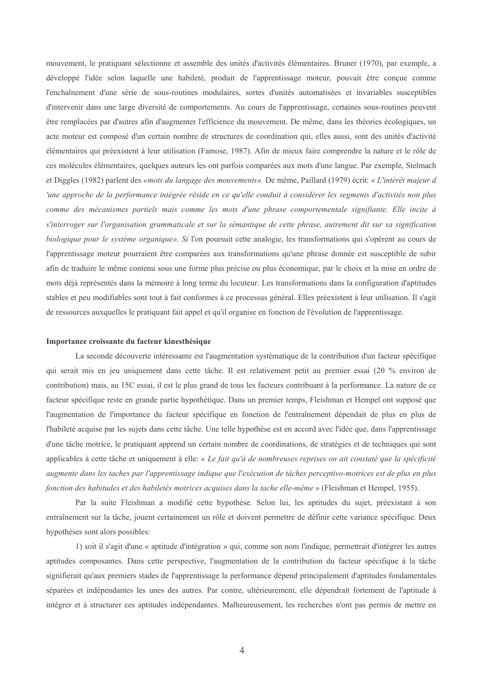mouvement, le pratiquant sélectionne et assemble des unités d'activités élémentaires. Bruner (1970), par exemple, a développé l'idée selon laquelle une habileté, produit de l'apprentissage moteur, pouvait être concue comme l'enchaînement d'une série de sous-routines modulaires, sortes d'unités automatisées et invariables susceptibles d'intervenir dans une large diversité de comportements. Au cours de l'apprentissage, certaines sous-routines peuvent être remplacées par d'autres afin d'augmenter l'efficience du mouvement. De même, dans les théories écologiques, un acte moteur est composé d'un certain nombre de structures de coordination qui, elles aussi, sont des unités d'activité élémentaires qui préexistent à leur utilisation (Famose, 1987). Afin de mieux faire comprendre la nature et le rôle de ces molécules élémentaires, quelques auteurs les ont parfois comparées aux mots d'une langue. Par exemple, Stelmach et Diggles (1982) parlent des «mots du langage des mouvements». De même, Paillard (1979) écrit: « L'intérêt majeur d 'une approche de la performance intégrée réside en ce qu'elle conduit à considérer les segments d'activités non plus comme des mécanismes partiels mais comme les mots d'une phrase comportementale signifiante. Elle incite à s'interroger sur l'organisation grammaticale et sur la sémantique de cette phrase, autrement dit sur sa signification biologique pour le système organique». Si l'on poursuit cette analogie, les transformations qui s'opèrent au cours de l'apprentissage moteur pourraient être comparées aux transformations qu'une phrase donnée est susceptible de subir afin de traduire le même contenu sous une forme plus précise ou plus économique, par le choix et la mise en ordre de mots déjà représentés dans la mémoire à long terme du locuteur. Les transformations dans la configuration d'aptitudes stables et peu modifiables sont tout à fait conformes à ce processus général. Elles préexistent à leur utilisation. Il s'agit de ressources auxquelles le pratiquant fait appel et qu'il organise en fonction de l'évolution de l'apprentissage.

#### Importance croissante du facteur kinesthésique

La seconde découverte intéressante est l'augmentation systématique de la contribution d'un facteur spécifique qui serait mis en jeu uniquement dans cette tâche. Il est relativement petit au premier essai (20 % environ de contribution) mais, au 15C essai, il est le plus grand de tous les facteurs contribuant à la performance. La nature de ce facteur spécifique reste en grande partie hypothétique. Dans un premier temps, Fleishman et Hempel ont supposé que l'augmentation de l'importance du facteur spécifique en fonction de l'entraînement dépendait de plus en plus de l'habileté acquise par les sujets dans cette tâche. Une telle hypothèse est en accord avec l'idée que, dans l'apprentissage d'une tâche motrice, le pratiquant apprend un certain nombre de coordinations, de stratégies et de techniques qui sont applicables à cette tâche et uniquement à elle: « Le fait qu'à de nombreuses reprises on ait constaté que la spécificité augmente dans les taches par l'apprentissage indique que l'exécution de tâches perceptivo-motrices est de plus en plus fonction des habitudes et des habiletés motrices acquises dans la tache elle-même » (Fleishman et Hempel, 1955).

Par la suite Fleishman a modifié cette hypothèse. Selon lui, les aptitudes du sujet, préexistant à son entraînement sur la tâche, jouent certainement un rôle et doivent permettre de définir cette variance spécifique. Deux hypothèses sont alors possibles:

1) soit il s'agit d'une « aptitude d'intégration » qui, comme son nom l'indique, permettrait d'intégrer les autres aptitudes composantes. Dans cette perspective, l'augmentation de la contribution du facteur spécifique à la tâche signifierait qu'aux premiers stades de l'apprentissage la performance dépend principalement d'aptitudes fondamentales séparées et indépendantes les unes des autres. Par contre, ultérieurement, elle dépendrait fortement de l'aptitude à intégrer et à structurer ces aptitudes indépendantes. Malheureusement, les recherches n'ont pas permis de mettre en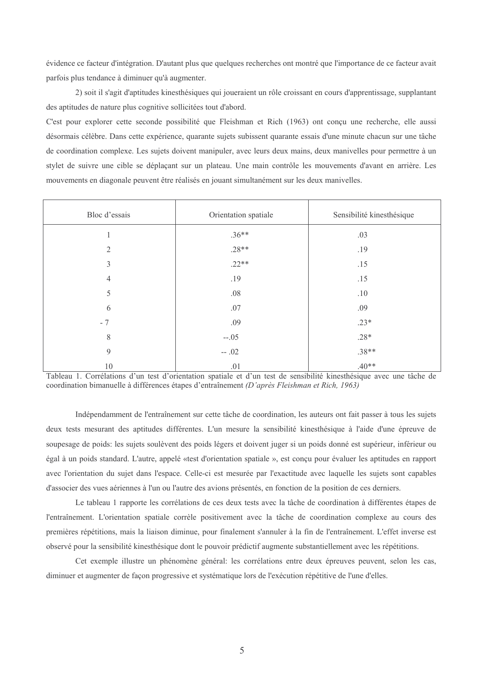évidence ce facteur d'intégration. D'autant plus que quelques recherches ont montré que l'importance de ce facteur avait parfois plus tendance à diminuer qu'à augmenter.

2) soit il s'agit d'aptitudes kinesthésiques qui joueraient un rôle croissant en cours d'apprentissage, supplantant des aptitudes de nature plus cognitive sollicitées tout d'abord.

C'est pour explorer cette seconde possibilité que Fleishman et Rich (1963) ont concu une recherche, elle aussi désormais célèbre. Dans cette expérience, quarante sujets subissent quarante essais d'une minute chacun sur une tâche de coordination complexe. Les sujets doivent manipuler, avec leurs deux mains, deux manivelles pour permettre à un stylet de suivre une cible se déplacant sur un plateau. Une main contrôle les mouvements d'avant en arrière. Les mouvements en diagonale peuvent être réalisés en jouant simultanément sur les deux manivelles.

| Bloc d'essais  | Orientation spatiale | Sensibilité kinesthésique |
|----------------|----------------------|---------------------------|
|                | $.36**$              | .03                       |
| $\mathfrak{2}$ | $.28**$              | .19                       |
| 3              | $.22**$              | .15                       |
| $\overline{4}$ | .19                  | .15                       |
| 5              | .08                  | .10                       |
| 6              | .07                  | .09                       |
| $-7$           | .09                  | $.23*$                    |
| $8\,$          | $-.05$               | $.28*$                    |
| 9              | $-.02$               | $.38**$                   |
| 10             | .01                  | $.40**$                   |

Tableau 1. Corrélations d'un test d'orientation spatiale et d'un test de sensibilité kinesthésique avec une tâche de coordination bimanuelle à différences étapes d'entraînement (D'après Fleishman et Rich, 1963)

Indépendamment de l'entraînement sur cette tâche de coordination, les auteurs ont fait passer à tous les sujets deux tests mesurant des aptitudes différentes. L'un mesure la sensibilité kinesthésique à l'aide d'une épreuve de soupesage de poids: les sujets soulèvent des poids légers et doivent juger si un poids donné est supérieur, inférieur ou égal à un poids standard. L'autre, appelé «test d'orientation spatiale », est conçu pour évaluer les aptitudes en rapport avec l'orientation du sujet dans l'espace. Celle-ci est mesurée par l'exactitude avec laquelle les sujets sont capables d'associer des vues aériennes à l'un ou l'autre des avions présentés, en fonction de la position de ces derniers.

Le tableau 1 rapporte les corrélations de ces deux tests avec la tâche de coordination à différentes étapes de l'entraînement. L'orientation spatiale corrèle positivement avec la tâche de coordination complexe au cours des premières répétitions, mais la liaison diminue, pour finalement s'annuler à la fin de l'entraînement. L'effet inverse est observé pour la sensibilité kinesthésique dont le pouvoir prédictif augmente substantiellement avec les répétitions.

Cet exemple illustre un phénomène général: les corrélations entre deux épreuves peuvent, selon les cas, diminuer et augmenter de facon progressive et systématique lors de l'exécution répétitive de l'une d'elles.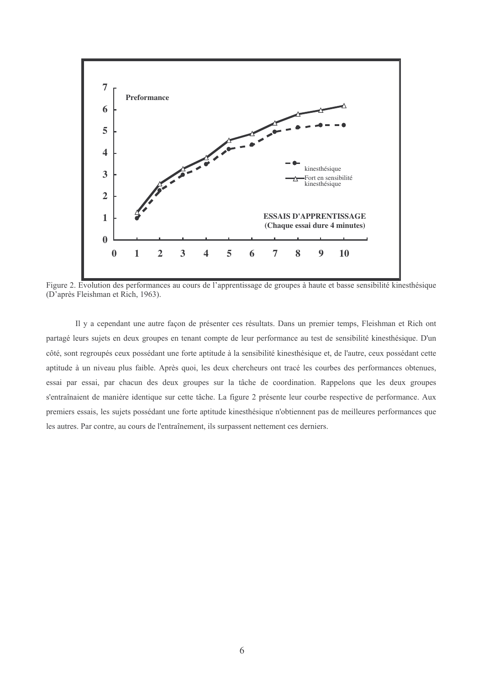

Figure 2. Evolution des performances au cours de l'apprentissage de groupes à haute et basse sensibilité kinesthésique (D'après Fleishman et Rich, 1963).

Il y a cependant une autre façon de présenter ces résultats. Dans un premier temps, Fleishman et Rich ont partagé leurs sujets en deux groupes en tenant compte de leur performance au test de sensibilité kinesthésique. D'un côté, sont regroupés ceux possédant une forte aptitude à la sensibilité kinesthésique et, de l'autre, ceux possédant cette aptitude à un niveau plus faible. Après quoi, les deux chercheurs ont tracé les courbes des performances obtenues, essai par essai, par chacun des deux groupes sur la tâche de coordination. Rappelons que les deux groupes s'entraînaient de manière identique sur cette tâche. La figure 2 présente leur courbe respective de performance. Aux premiers essais, les sujets possédant une forte aptitude kinesthésique n'obtiennent pas de meilleures performances que les autres. Par contre, au cours de l'entraînement, ils surpassent nettement ces derniers.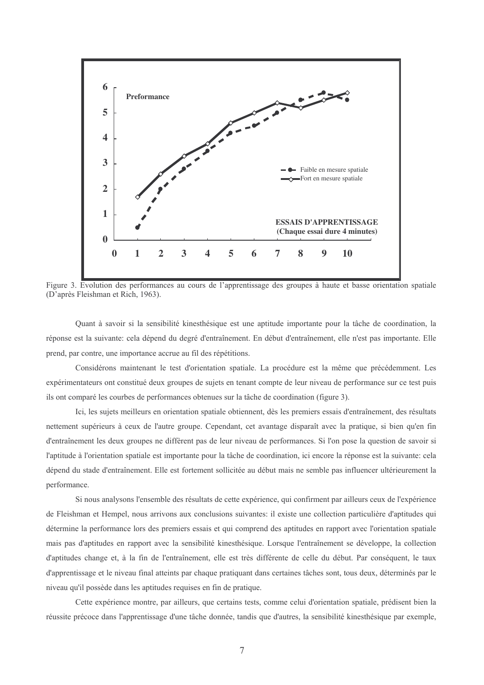

Figure 3. Evolution des performances au cours de l'apprentissage des groupes à haute et basse orientation spatiale (D'après Fleishman et Rich, 1963).

Quant à savoir si la sensibilité kinesthésique est une aptitude importante pour la tâche de coordination, la réponse est la suivante: cela dépend du degré d'entraînement. En début d'entraînement, elle n'est pas importante. Elle prend, par contre, une importance accrue au fil des répétitions.

Considérons maintenant le test d'orientation spatiale. La procédure est la même que précédemment. Les expérimentateurs ont constitué deux groupes de sujets en tenant compte de leur niveau de performance sur ce test puis ils ont comparé les courbes de performances obtenues sur la tâche de coordination (figure 3).

Ici, les sujets meilleurs en orientation spatiale obtiennent, dès les premiers essais d'entraînement, des résultats nettement supérieurs à ceux de l'autre groupe. Cependant, cet avantage disparaît avec la pratique, si bien qu'en fin d'entraînement les deux groupes ne diffèrent pas de leur niveau de performances. Si l'on pose la question de savoir si l'aptitude à l'orientation spatiale est importante pour la tâche de coordination, ici encore la réponse est la suivante: cela dépend du stade d'entraînement. Elle est fortement sollicitée au début mais ne semble pas influencer ultérieurement la performance.

Si nous analysons l'ensemble des résultats de cette expérience, qui confirment par ailleurs ceux de l'expérience de Fleishman et Hempel, nous arrivons aux conclusions suivantes: il existe une collection particulière d'aptitudes qui détermine la performance lors des premiers essais et qui comprend des aptitudes en rapport avec l'orientation spatiale mais pas d'aptitudes en rapport avec la sensibilité kinesthésique. Lorsque l'entraînement se développe, la collection d'aptitudes change et, à la fin de l'entraînement, elle est très différente de celle du début. Par conséquent, le taux d'apprentissage et le niveau final atteints par chaque pratiquant dans certaines tâches sont, tous deux, déterminés par le niveau qu'il possède dans les aptitudes requises en fin de pratique.

Cette expérience montre, par ailleurs, que certains tests, comme celui d'orientation spatiale, prédisent bien la réussite précoce dans l'apprentissage d'une tâche donnée, tandis que d'autres, la sensibilité kinesthésique par exemple.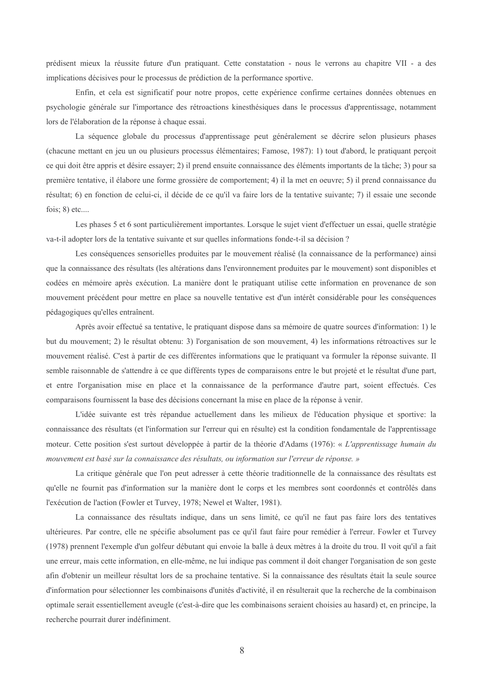prédisent mieux la réussite future d'un pratiquant. Cette constatation - nous le verrons au chapitre VII - a des implications décisives pour le processus de prédiction de la performance sportive.

Enfin, et cela est significatif pour notre propos, cette expérience confirme certaines données obtenues en psychologie générale sur l'importance des rétroactions kinesthésiques dans le processus d'apprentissage, notamment lors de l'élaboration de la réponse à chaque essai.

La séquence globale du processus d'apprentissage peut généralement se décrire selon plusieurs phases (chacune mettant en jeu un ou plusieurs processus élémentaires; Famose, 1987): 1) tout d'abord, le pratiquant perçoit ce qui doit être appris et désire essayer; 2) il prend ensuite connaissance des éléments importants de la tâche; 3) pour sa première tentative, il élabore une forme grossière de comportement; 4) il la met en oeuvre; 5) il prend connaissance du résultat; 6) en fonction de celui-ci, il décide de ce qu'il va faire lors de la tentative suivante; 7) il essaie une seconde fois;  $8)$  etc....

Les phases 5 et 6 sont particulièrement importantes. Lorsque le sujet vient d'effectuer un essai, quelle stratégie va-t-il adopter lors de la tentative suivante et sur quelles informations fonde-t-il sa décision ?

Les conséquences sensorielles produites par le mouvement réalisé (la connaissance de la performance) ainsi que la connaissance des résultats (les altérations dans l'environnement produites par le mouvement) sont disponibles et codées en mémoire après exécution. La manière dont le pratiquant utilise cette information en provenance de son mouvement précédent pour mettre en place sa nouvelle tentative est d'un intérêt considérable pour les conséquences pédagogiques qu'elles entraînent.

Après avoir effectué sa tentative, le pratiquant dispose dans sa mémoire de quatre sources d'information: 1) le but du mouvement; 2) le résultat obtenu: 3) l'organisation de son mouvement, 4) les informations rétroactives sur le mouvement réalisé. C'est à partir de ces différentes informations que le pratiquant va formuler la réponse suivante. Il semble raisonnable de s'attendre à ce que différents types de comparaisons entre le but projeté et le résultat d'une part, et entre l'organisation mise en place et la connaissance de la performance d'autre part, soient effectués. Ces comparaisons fournissent la base des décisions concernant la mise en place de la réponse à venir.

L'idée suivante est très répandue actuellement dans les milieux de l'éducation physique et sportive: la connaissance des résultats (et l'information sur l'erreur qui en résulte) est la condition fondamentale de l'apprentissage moteur. Cette position s'est surtout développée à partir de la théorie d'Adams (1976): « L'apprentissage humain du mouvement est basé sur la connaissance des résultats, ou information sur l'erreur de réponse. »

La critique générale que l'on peut adresser à cette théorie traditionnelle de la connaissance des résultats est qu'elle ne fournit pas d'information sur la manière dont le corps et les membres sont coordonnés et contrôlés dans l'exécution de l'action (Fowler et Turvey, 1978; Newel et Walter, 1981).

La connaissance des résultats indique, dans un sens limité, ce qu'il ne faut pas faire lors des tentatives ultérieures. Par contre, elle ne spécifie absolument pas ce qu'il faut faire pour remédier à l'erreur. Fowler et Turvey (1978) prennent l'exemple d'un golfeur débutant qui envoie la balle à deux mètres à la droite du trou. Il voit qu'il a fait une erreur, mais cette information, en elle-même, ne lui indique pas comment il doit changer l'organisation de son geste afin d'obtenir un meilleur résultat lors de sa prochaine tentative. Si la connaissance des résultats était la seule source d'information pour sélectionner les combinaisons d'unités d'activité, il en résulterait que la recherche de la combinaison optimale serait essentiellement aveugle (c'est-à-dire que les combinaisons seraient choisies au hasard) et, en principe, la recherche pourrait durer indéfiniment.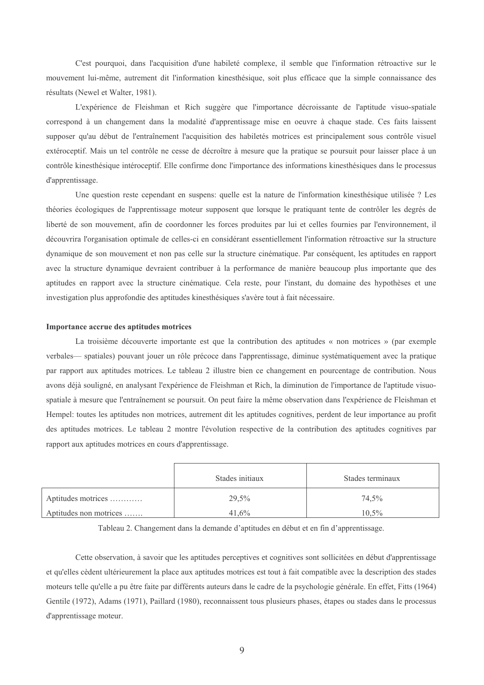C'est pourquoi, dans l'acquisition d'une habileté complexe, il semble que l'information rétroactive sur le mouvement lui-même, autrement dit l'information kinesthésique, soit plus efficace que la simple connaissance des résultats (Newel et Walter, 1981).

L'expérience de Fleishman et Rich suggère que l'importance décroissante de l'aptitude visuo-spatiale correspond à un changement dans la modalité d'apprentissage mise en oeuvre à chaque stade. Ces faits laissent supposer qu'au début de l'entraînement l'acquisition des habiletés motrices est principalement sous contrôle visuel extéroceptif. Mais un tel contrôle ne cesse de décroître à mesure que la pratique se poursuit pour laisser place à un contrôle kinesthésique intéroceptif. Elle confirme donc l'importance des informations kinesthésiques dans le processus d'apprentissage.

Une question reste cependant en suspens: quelle est la nature de l'information kinesthésique utilisée ? Les théories écologiques de l'apprentissage moteur supposent que lorsque le pratiquant tente de contrôler les degrés de liberté de son mouvement, afin de coordonner les forces produites par lui et celles fournies par l'environnement, il découvrira l'organisation optimale de celles-ci en considérant essentiellement l'information rétroactive sur la structure dynamique de son mouvement et non pas celle sur la structure cinématique. Par conséquent, les aptitudes en rapport avec la structure dynamique devraient contribuer à la performance de manière beaucoup plus importante que des aptitudes en rapport avec la structure cinématique. Cela reste, pour l'instant, du domaine des hypothèses et une investigation plus approfondie des aptitudes kinesthésiques s'avère tout à fait nécessaire.

### Importance accrue des aptitudes motrices

La troisième découverte importante est que la contribution des aptitudes « non motrices » (par exemple verbales— spatiales) pouvant jouer un rôle précoce dans l'apprentissage, diminue systématiquement avec la pratique par rapport aux aptitudes motrices. Le tableau 2 illustre bien ce changement en pourcentage de contribution. Nous avons déjà souligné, en analysant l'expérience de Fleishman et Rich, la diminution de l'importance de l'aptitude visuospatiale à mesure que l'entraînement se poursuit. On peut faire la même observation dans l'expérience de Fleishman et Hempel: toutes les aptitudes non motrices, autrement dit les aptitudes cognitives, perdent de leur importance au profit des aptitudes motrices. Le tableau 2 montre l'évolution respective de la contribution des aptitudes cognitives par rapport aux aptitudes motrices en cours d'apprentissage.

|                        | Stades initiaux | Stades terminaux |
|------------------------|-----------------|------------------|
| Aptitudes motrices     | 29,5%           | 74,5%            |
| Aptitudes non motrices | 41.6%           | $10.5\%$         |

Tableau 2. Changement dans la demande d'aptitudes en début et en fin d'apprentissage.

Cette observation, à savoir que les aptitudes perceptives et cognitives sont sollicitées en début d'apprentissage et qu'elles cèdent ultérieurement la place aux aptitudes motrices est tout à fait compatible avec la description des stades moteurs telle qu'elle a pu être faite par différents auteurs dans le cadre de la psychologie générale. En effet, Fitts (1964) Gentile (1972), Adams (1971), Paillard (1980), reconnaissent tous plusieurs phases, étapes ou stades dans le processus d'apprentissage moteur.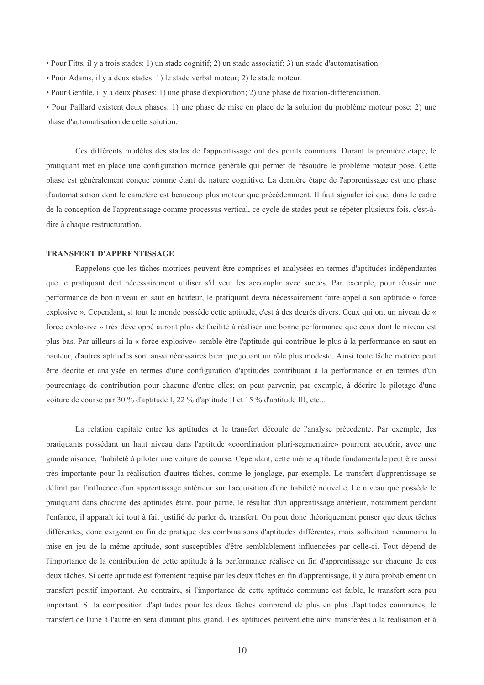- Pour Fitts, il y a trois stades: 1) un stade cognitif; 2) un stade associatif; 3) un stade d'automatisation.
- Pour Adams, il y a deux stades: 1) le stade verbal moteur; 2) le stade moteur.
- Pour Gentile, il y a deux phases: 1) une phase d'exploration; 2) une phase de fixation-différenciation.

• Pour Paillard existent deux phases: 1) une phase de mise en place de la solution du problème moteur pose: 2) une phase d'automatisation de cette solution.

Ces différents modèles des stades de l'apprentissage ont des points communs. Durant la première étape, le pratiquant met en place une configuration motrice générale qui permet de résoudre le problème moteur posé. Cette phase est généralement conçue comme étant de nature cognitive. La dernière étape de l'apprentissage est une phase d'automatisation dont le caractère est beaucoup plus moteur que précédemment. Il faut signaler ici que, dans le cadre de la conception de l'apprentissage comme processus vertical, ce cycle de stades peut se répéter plusieurs fois, c'est-àdire à chaque restructuration.

#### **TRANSFERT D'APPRENTISSAGE**

Rappelons que les tâches motrices peuvent être comprises et analysées en termes d'aptitudes indépendantes que le pratiquant doit nécessairement utiliser s'il veut les accomplir avec succès. Par exemple, pour réussir une performance de bon niveau en saut en hauteur, le pratiquant devra nécessairement faire appel à son aptitude « force explosive ». Cependant, si tout le monde possède cette aptitude, c'est à des degrés divers. Ceux qui ont un niveau de « force explosive » très développé auront plus de facilité à réaliser une bonne performance que ceux dont le niveau est plus bas. Par ailleurs si la « force explosive» semble être l'aptitude qui contribue le plus à la performance en saut en hauteur, d'autres aptitudes sont aussi nécessaires bien que jouant un rôle plus modeste. Ainsi toute tâche motrice peut être décrite et analysée en termes d'une configuration d'aptitudes contribuant à la performance et en termes d'un pourcentage de contribution pour chacune d'entre elles; on peut parvenir, par exemple, à décrire le pilotage d'une voiture de course par 30 % d'aptitude I, 22 % d'aptitude II et 15 % d'aptitude III, etc...

La relation capitale entre les aptitudes et le transfert découle de l'analyse précédente. Par exemple, des pratiquants possédant un haut niveau dans l'aptitude «coordination pluri-segmentaire» pourront acquérir, avec une grande aisance, l'habileté à piloter une voiture de course. Cependant, cette même aptitude fondamentale peut être aussi très importante pour la réalisation d'autres tâches, comme le jonglage, par exemple. Le transfert d'apprentissage se définit par l'influence d'un apprentissage antérieur sur l'acquisition d'une habileté nouvelle. Le niveau que possède le pratiquant dans chacune des aptitudes étant, pour partie, le résultat d'un apprentissage antérieur, notamment pendant l'enfance, il apparaît ici tout à fait justifié de parler de transfert. On peut donc théoriquement penser que deux tâches différentes, donc exigeant en fin de pratique des combinaisons d'aptitudes différentes, mais sollicitant néanmoins la mise en jeu de la même aptitude, sont susceptibles d'être semblablement influencées par celle-ci. Tout dépend de l'importance de la contribution de cette aptitude à la performance réalisée en fin d'apprentissage sur chacune de ces deux tâches. Si cette aptitude est fortement requise par les deux tâches en fin d'apprentissage, il y aura probablement un transfert positif important. Au contraire, si l'importance de cette aptitude commune est faible, le transfert sera peu important. Si la composition d'aptitudes pour les deux tâches comprend de plus en plus d'aptitudes communes, le transfert de l'une à l'autre en sera d'autant plus grand. Les aptitudes peuvent être ainsi transférées à la réalisation et à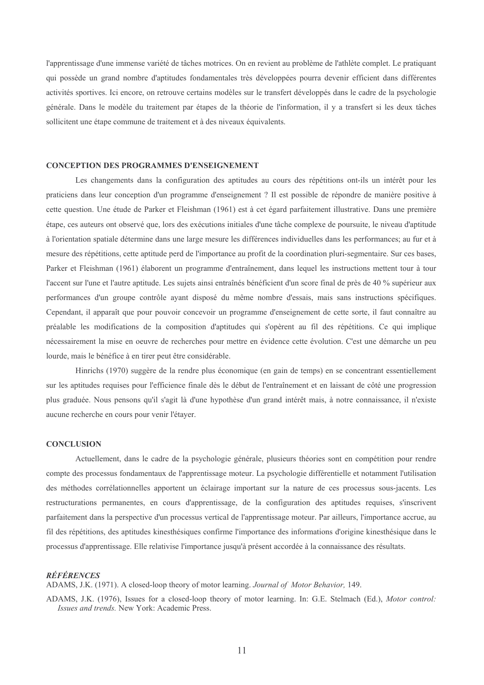l'apprentissage d'une immense variété de tâches motrices. On en revient au problème de l'athlète complet. Le pratiquant qui possède un grand nombre d'aptitudes fondamentales très développées pourra devenir efficient dans différentes activités sportives. Ici encore, on retrouve certains modèles sur le transfert développés dans le cadre de la psychologie générale. Dans le modèle du traitement par étapes de la théorie de l'information, il y a transfert si les deux tâches sollicitent une étape commune de traitement et à des niveaux équivalents.

## **CONCEPTION DES PROGRAMMES D'ENSEIGNEMENT**

Les changements dans la configuration des aptitudes au cours des répétitions ont-ils un intérêt pour les praticiens dans leur conception d'un programme d'enseignement ? Il est possible de répondre de manière positive à cette question. Une étude de Parker et Fleishman (1961) est à cet égard parfaitement illustrative. Dans une première étape, ces auteurs ont observé que, lors des exécutions initiales d'une tâche complexe de poursuite, le niveau d'aptitude à l'orientation spatiale détermine dans une large mesure les différences individuelles dans les performances; au fur et à mesure des répétitions, cette aptitude perd de l'importance au profit de la coordination pluri-segmentaire. Sur ces bases, Parker et Fleishman (1961) élaborent un programme d'entraînement, dans lequel les instructions mettent tour à tour l'accent sur l'une et l'autre aptitude. Les sujets ainsi entraînés bénéficient d'un score final de près de 40 % supérieur aux performances d'un groupe contrôle ayant disposé du même nombre d'essais, mais sans instructions spécifiques. Cependant, il apparaît que pour pouvoir concevoir un programme d'enseignement de cette sorte, il faut connaître au préalable les modifications de la composition d'aptitudes qui s'opèrent au fil des répétitions. Ce qui implique nécessairement la mise en oeuvre de recherches pour mettre en évidence cette évolution. C'est une démarche un peu lourde, mais le bénéfice à en tirer peut être considérable.

Hinrichs (1970) suggère de la rendre plus économique (en gain de temps) en se concentrant essentiellement sur les aptitudes requises pour l'efficience finale dès le début de l'entraînement et en laissant de côté une progression plus graduée. Nous pensons qu'il s'agit là d'une hypothèse d'un grand intérêt mais, à notre connaissance, il n'existe aucune recherche en cours pour venir l'étayer.

### **CONCLUSION**

Actuellement, dans le cadre de la psychologie générale, plusieurs théories sont en compétition pour rendre compte des processus fondamentaux de l'apprentissage moteur. La psychologie différentielle et notamment l'utilisation des méthodes corrélationnelles apportent un éclairage important sur la nature de ces processus sous-jacents. Les restructurations permanentes, en cours d'apprentissage, de la configuration des aptitudes requises, s'inscrivent parfaitement dans la perspective d'un processus vertical de l'apprentissage moteur. Par ailleurs, l'importance accrue, au fil des répétitions, des aptitudes kinesthésiques confirme l'importance des informations d'origine kinesthésique dans le processus d'apprentissage. Elle relativise l'importance jusqu'à présent accordée à la connaissance des résultats.

### RÉFÉRENCES

ADAMS, J.K. (1971). A closed-loop theory of motor learning. Journal of Motor Behavior, 149.

ADAMS, J.K. (1976), Issues for a closed-loop theory of motor learning. In: G.E. Stelmach (Ed.), Motor control: Issues and trends. New York: Academic Press.